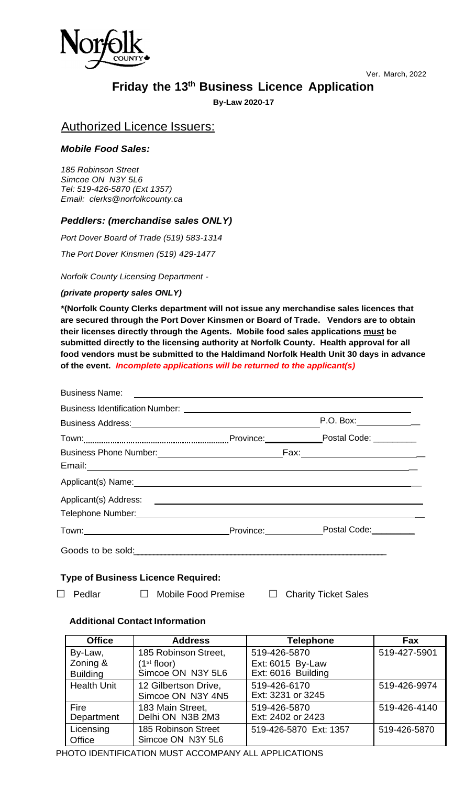

Ver. March, 2022

# **Friday the 13th Business Licence Application**

**By-Law 2020-17**

### Authorized Licence Issuers:

#### *Mobile Food Sales:*

*185 Robinson Street Simcoe ON N3Y 5L6 Tel: 519-426-5870 (Ext 1357) Email: clerks@norfolkcounty.ca*

### *Peddlers: (merchandise sales ONLY)*

*Port Dover Board of Trade (519) 583-1314*

*The Port Dover Kinsmen (519) 429-1477*

#### *Norfolk County Licensing Department -*

*(private property sales ONLY)*

**\*(Norfolk County Clerks department will not issue any merchandise sales licences that are secured through the Port Dover Kinsmen or Board of Trade. Vendors are to obtain their licenses directly through the Agents. Mobile food sales applications must be submitted directly to the licensing authority at Norfolk County. Health approval for all food vendors must be submitted to the Haldimand Norfolk Health Unit 30 days in advance of the event.** *Incomplete applications will be returned to the applicant(s)*

| <b>Business Name:</b>                     | <u> 1989 - John Stein, markin sanat masjid ayyukar sa sanat a sa sanat a sa sanat a sa sa sa sa sa sa sa sa sa sa</u>                                                                                                            |  |  |  |
|-------------------------------------------|----------------------------------------------------------------------------------------------------------------------------------------------------------------------------------------------------------------------------------|--|--|--|
|                                           |                                                                                                                                                                                                                                  |  |  |  |
|                                           | P.O. Box:_______________<br>Business Address: Management of the Superior Contract of the Superior Contract of the Superior Contract of the                                                                                       |  |  |  |
|                                           |                                                                                                                                                                                                                                  |  |  |  |
|                                           |                                                                                                                                                                                                                                  |  |  |  |
|                                           |                                                                                                                                                                                                                                  |  |  |  |
|                                           |                                                                                                                                                                                                                                  |  |  |  |
|                                           |                                                                                                                                                                                                                                  |  |  |  |
|                                           |                                                                                                                                                                                                                                  |  |  |  |
|                                           | Town: Town: Town: Town: Town: Town: Town: Town: Town: Town: Town: Town: Town: Town: Town: Town: Town: Town: Town: Town: Town: Town: Town: Town: Town: Town: Town: Town: Town: Town: Town: Town: Town: Town: Town: Town: Town:    |  |  |  |
|                                           | Goods to be sold:<br>Sold: Sold: Sold: Sold: Sold: Sold: Sold: Sold: Sold: Sold: Sold: Sold: Sold: Sold: Sold: Sold: Sold: Sold: Sold: Sold: Sold: Sold: Sold: Sold: Sold: Sold: Sold: Sold: Sold: Sold: Sold: Sold: Sold: Sold: |  |  |  |
| <b>Type of Business Licence Required:</b> |                                                                                                                                                                                                                                  |  |  |  |
| Pedlar                                    | □ Mobile Food Premise<br>$\Box$<br><b>Charity Ticket Sales</b>                                                                                                                                                                   |  |  |  |

#### **Additional Contact Information**

| <b>Office</b>      | <b>Address</b>          | <b>Telephone</b>       | Fax          |
|--------------------|-------------------------|------------------------|--------------|
| By-Law,            | 185 Robinson Street,    | 519-426-5870           | 519-427-5901 |
| Zoning &           | (1 <sup>st</sup> floor) | Ext: 6015 By-Law       |              |
| <b>Building</b>    | Simcoe ON N3Y 5L6       | Ext: 6016 Building     |              |
| <b>Health Unit</b> | 12 Gilbertson Drive,    | 519-426-6170           | 519-426-9974 |
|                    | Simcoe ON N3Y 4N5       | Ext: 3231 or 3245      |              |
| Fire               | 183 Main Street,        | 519-426-5870           | 519-426-4140 |
| Department         | Delhi ON N3B 2M3        | Ext: 2402 or 2423      |              |
| Licensing          | 185 Robinson Street     | 519-426-5870 Ext: 1357 | 519-426-5870 |
| Office             | Simcoe ON N3Y 5L6       |                        |              |

PHOTO IDENTIFICATION MUST ACCOMPANY ALL APPLICATIONS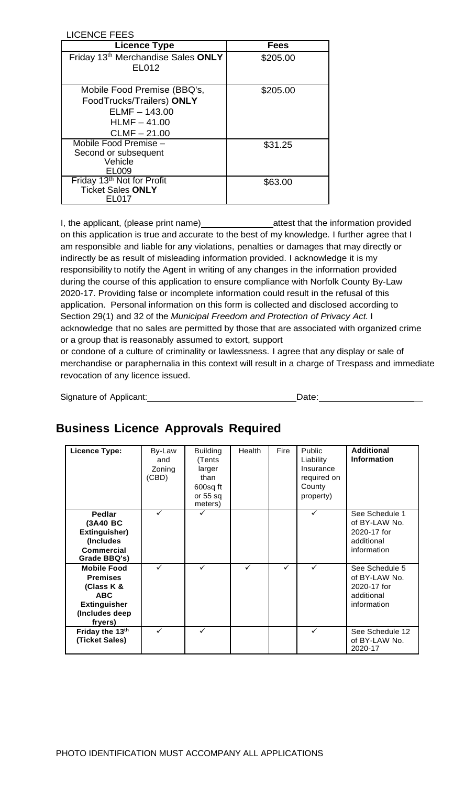| LICENCE FEES                                                                                                    |             |
|-----------------------------------------------------------------------------------------------------------------|-------------|
| <b>Licence Type</b>                                                                                             | <b>Fees</b> |
| Friday 13th Merchandise Sales ONLY<br><b>EL012</b>                                                              | \$205.00    |
| Mobile Food Premise (BBQ's,<br>FoodTrucks/Trailers) ONLY<br>$ELMF - 143.00$<br>$HLMF - 41.00$<br>$CLMF - 21.00$ | \$205.00    |
| Mobile Food Premise -<br>Second or subsequent<br>Vehicle<br>EL009                                               | \$31.25     |
| Friday 13 <sup>th</sup> Not for Profit<br><b>Ticket Sales ONLY</b><br>FL017                                     | \$63.00     |

I, the applicant, (please print name) attest that the information provided on this application is true and accurate to the best of my knowledge. I further agree that I am responsible and liable for any violations, penalties or damages that may directly or indirectly be as result of misleading information provided. I acknowledge it is my responsibility to notify the Agent in writing of any changes in the information provided during the course of this application to ensure compliance with Norfolk County By-Law 2020-17. Providing false or incomplete information could result in the refusal of this application. Personal information on this form is collected and disclosed according to Section 29(1) and 32 of the *Municipal Freedom and Protection of Privacy Act.* I acknowledge that no sales are permitted by those that are associated with organized crime or a group that is reasonably assumed to extort, support

or condone of a culture of criminality or lawlessness. I agree that any display or sale of merchandise or paraphernalia in this context will result in a charge of Trespass and immediate revocation of any licence issued.

Signature of Applicant: Date: \_

## **Business Licence Approvals Required**

| Licence Type:                                                                                                         | By-Law<br>and<br>Zoning<br>(CBD) | <b>Building</b><br>(Tents<br>larger<br>than<br>600sq ft<br>or 55 sq<br>meters) | Health | Fire | <b>Public</b><br>Liability<br>Insurance<br>required on<br>County<br>property) | <b>Additional</b><br><b>Information</b>                                     |
|-----------------------------------------------------------------------------------------------------------------------|----------------------------------|--------------------------------------------------------------------------------|--------|------|-------------------------------------------------------------------------------|-----------------------------------------------------------------------------|
| <b>Pedlar</b><br>(3A40 BC<br>Extinguisher)<br>(Includes<br><b>Commercial</b><br>Grade BBQ's)                          | ✓                                |                                                                                |        |      | ✓                                                                             | See Schedule 1<br>of BY-LAW No.<br>2020-17 for<br>additional<br>information |
| <b>Mobile Food</b><br><b>Premises</b><br>(Class K &<br><b>ABC</b><br><b>Extinguisher</b><br>(Includes deep<br>fryers) | ✓                                | ✓                                                                              | ✓      | ✓    | $\checkmark$                                                                  | See Schedule 5<br>of BY-LAW No.<br>2020-17 for<br>additional<br>information |
| Friday the 13th<br>(Ticket Sales)                                                                                     | ✓                                |                                                                                |        |      | ✓                                                                             | See Schedule 12<br>of BY-LAW No.<br>2020-17                                 |